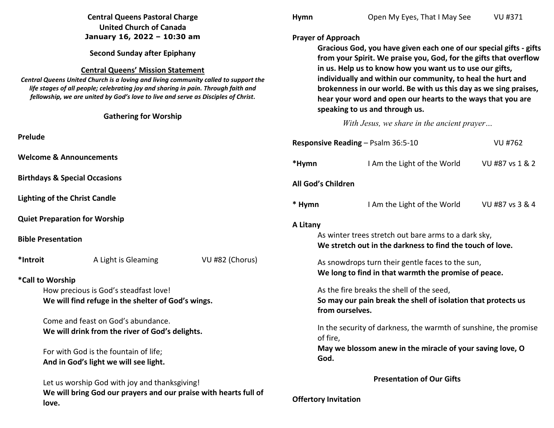|                                                                                                                                                                                                                                                               | <b>Central Queens Pastoral Charge</b>                            |                 | <b>Hymn</b>                                                                                                                                                                                                                                                                                                                                                                                                                             | Open My Eyes, That I May See                                     | VU #371         |
|---------------------------------------------------------------------------------------------------------------------------------------------------------------------------------------------------------------------------------------------------------------|------------------------------------------------------------------|-----------------|-----------------------------------------------------------------------------------------------------------------------------------------------------------------------------------------------------------------------------------------------------------------------------------------------------------------------------------------------------------------------------------------------------------------------------------------|------------------------------------------------------------------|-----------------|
|                                                                                                                                                                                                                                                               | <b>United Church of Canada</b>                                   |                 |                                                                                                                                                                                                                                                                                                                                                                                                                                         |                                                                  |                 |
|                                                                                                                                                                                                                                                               | January 16, 2022 - 10:30 am                                      |                 | <b>Prayer of Approach</b>                                                                                                                                                                                                                                                                                                                                                                                                               |                                                                  |                 |
| <b>Second Sunday after Epiphany</b>                                                                                                                                                                                                                           |                                                                  |                 | Gracious God, you have given each one of our special gifts - gifts<br>from your Spirit. We praise you, God, for the gifts that overflow<br>in us. Help us to know how you want us to use our gifts,<br>individually and within our community, to heal the hurt and<br>brokenness in our world. Be with us this day as we sing praises,<br>hear your word and open our hearts to the ways that you are<br>speaking to us and through us. |                                                                  |                 |
| <b>Central Queens' Mission Statement</b>                                                                                                                                                                                                                      |                                                                  |                 |                                                                                                                                                                                                                                                                                                                                                                                                                                         |                                                                  |                 |
| Central Queens United Church is a loving and living community called to support the<br>life stages of all people; celebrating joy and sharing in pain. Through faith and<br>fellowship, we are united by God's love to live and serve as Disciples of Christ. |                                                                  |                 |                                                                                                                                                                                                                                                                                                                                                                                                                                         |                                                                  |                 |
|                                                                                                                                                                                                                                                               | <b>Gathering for Worship</b>                                     |                 | With Jesus, we share in the ancient prayer                                                                                                                                                                                                                                                                                                                                                                                              |                                                                  |                 |
|                                                                                                                                                                                                                                                               |                                                                  |                 |                                                                                                                                                                                                                                                                                                                                                                                                                                         |                                                                  |                 |
| Prelude                                                                                                                                                                                                                                                       |                                                                  |                 |                                                                                                                                                                                                                                                                                                                                                                                                                                         | Responsive Reading - Psalm 36:5-10                               | <b>VU #762</b>  |
|                                                                                                                                                                                                                                                               | <b>Welcome &amp; Announcements</b>                               |                 | *Hymn                                                                                                                                                                                                                                                                                                                                                                                                                                   | I Am the Light of the World                                      | VU #87 vs 1 & 2 |
|                                                                                                                                                                                                                                                               | <b>Birthdays &amp; Special Occasions</b>                         |                 | All God's Children                                                                                                                                                                                                                                                                                                                                                                                                                      |                                                                  |                 |
|                                                                                                                                                                                                                                                               | <b>Lighting of the Christ Candle</b>                             |                 | * Hymn                                                                                                                                                                                                                                                                                                                                                                                                                                  | I Am the Light of the World                                      | VU #87 vs 3 & 4 |
|                                                                                                                                                                                                                                                               | <b>Quiet Preparation for Worship</b>                             |                 | A Litany                                                                                                                                                                                                                                                                                                                                                                                                                                |                                                                  |                 |
| <b>Bible Presentation</b>                                                                                                                                                                                                                                     |                                                                  |                 | As winter trees stretch out bare arms to a dark sky,<br>We stretch out in the darkness to find the touch of love.                                                                                                                                                                                                                                                                                                                       |                                                                  |                 |
| *Introit                                                                                                                                                                                                                                                      | A Light is Gleaming                                              | VU #82 (Chorus) |                                                                                                                                                                                                                                                                                                                                                                                                                                         | As snowdrops turn their gentle faces to the sun,                 |                 |
| *Call to Worship                                                                                                                                                                                                                                              |                                                                  |                 |                                                                                                                                                                                                                                                                                                                                                                                                                                         | We long to find in that warmth the promise of peace.             |                 |
|                                                                                                                                                                                                                                                               | How precious is God's steadfast love!                            |                 |                                                                                                                                                                                                                                                                                                                                                                                                                                         | As the fire breaks the shell of the seed,                        |                 |
| We will find refuge in the shelter of God's wings.                                                                                                                                                                                                            |                                                                  |                 | So may our pain break the shell of isolation that protects us<br>from ourselves.                                                                                                                                                                                                                                                                                                                                                        |                                                                  |                 |
|                                                                                                                                                                                                                                                               | Come and feast on God's abundance.                               |                 |                                                                                                                                                                                                                                                                                                                                                                                                                                         |                                                                  |                 |
|                                                                                                                                                                                                                                                               | We will drink from the river of God's delights.                  |                 | of fire,                                                                                                                                                                                                                                                                                                                                                                                                                                | In the security of darkness, the warmth of sunshine, the promise |                 |
| For with God is the fountain of life;                                                                                                                                                                                                                         |                                                                  |                 | May we blossom anew in the miracle of your saving love, O                                                                                                                                                                                                                                                                                                                                                                               |                                                                  |                 |
|                                                                                                                                                                                                                                                               | And in God's light we will see light.                            |                 | God.                                                                                                                                                                                                                                                                                                                                                                                                                                    |                                                                  |                 |
|                                                                                                                                                                                                                                                               | Let us worship God with joy and thanksgiving!                    |                 | <b>Presentation of Our Gifts</b>                                                                                                                                                                                                                                                                                                                                                                                                        |                                                                  |                 |
| love.                                                                                                                                                                                                                                                         | We will bring God our prayers and our praise with hearts full of |                 | <b>Offertory Invitation</b>                                                                                                                                                                                                                                                                                                                                                                                                             |                                                                  |                 |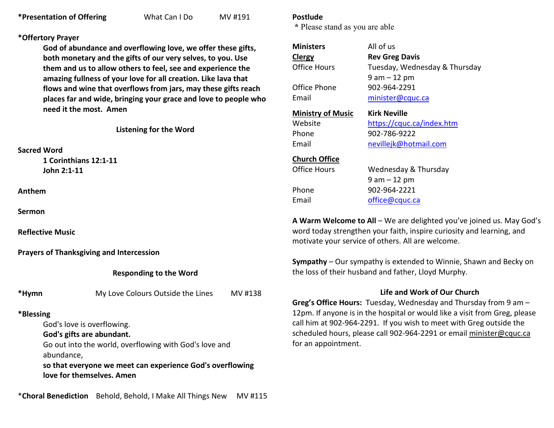# **\*Offertory Prayer**

**God of abundance and overflowing love, we offer these gifts, both monetary and the gifts of our very selves, to you. Use them and us to allow others to feel, see and experience the amazing fullness of your love for all creation. Like lava that flows and wine that overflows from jars, may these gifts reach places far and wide, bringing your grace and love to people who need it the most. Amen** 

**Listening for the Word** 

#### **Sacred Word**

 **1 Corinthians 12:1-11 John 2:1-11** 

**Anthem** 

**Sermon**

**Reflective Music** 

**Prayers of Thanksgiving and Intercession**

**Responding to the Word** 

**\*Hymn** My Love Colours Outside the Lines MV #138

# **\*Blessing**

God's love is overflowing.

 **God's gifts are abundant.** 

 Go out into the world, overflowing with God's love and abundance,

 **so that everyone we meet can experience God's overflowing love for themselves. Amen**

#### **Postlude**

 **\*** Please stand as you are able

| <b>Ministers</b>         | All of us                     |
|--------------------------|-------------------------------|
| Clergy                   | <b>Rev Greg Davis</b>         |
| Office Hours             | Tuesday, Wednesday & Thursday |
|                          | $9$ am $-12$ pm               |
| Office Phone             | 902-964-2291                  |
| Email                    | minister@cquc.ca              |
| <b>Ministry of Music</b> | <b>Kirk Neville</b>           |
| Website                  | https://cquc.ca/index.htm     |
| Phone                    | 902-786-9222                  |
| Email                    | nevillejk@hotmail.com         |
| <b>Church Office</b>     |                               |
|                          | Wednesday & Thursday          |
| Office Hours             |                               |
|                          | 9 am – 12 pm                  |
| Phone                    | 902-964-2221                  |

d us. May God's word today strengthen your faith, inspire curiosity and learning, and motivate your service of others. All are welcome.

**Sympathy** – Our sympathy is extended to Winnie, Shawn and Becky on the loss of their husband and father, Lloyd Murphy.

# **Life and Work of Our Church**

**Greg's Office Hours:** Tuesday, Wednesday and Thursday from 9 am – 12pm. If anyone is in the hospital or would like a visit from Greg, please call him at 902-964-2291. If you wish to meet with Greg outside the scheduled hours, please call 902-964-2291 or email minister@cquc.ca for an appointment.